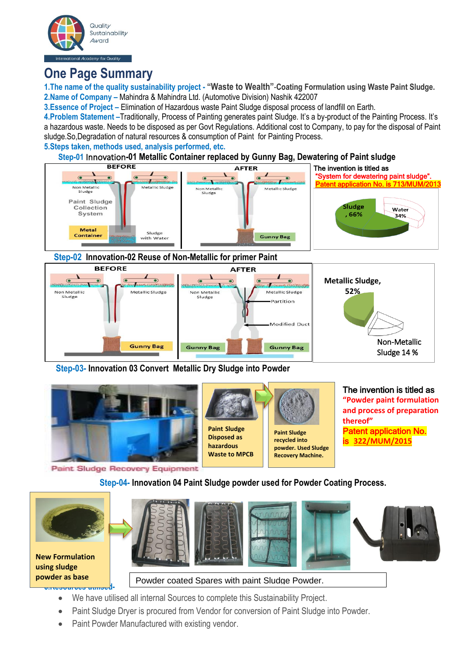

# **One Page Summary**

**1.The name of the quality sustainability project - "Waste to Wealth"**-**Coating Formulation using Waste Paint Sludge. 2.Name of Company –** Mahindra & Mahindra Ltd. (Automotive Division) Nashik 422007

**3.Essence of Project –** Elimination of Hazardous waste Paint Sludge disposal process of landfill on Earth.

**4.Problem Statement –**Traditionally, Process of Painting generates paint Sludge. It's a by-product of the Painting Process. It's a hazardous waste. Needs to be disposed as per Govt Regulations. Additional cost to Company, to pay for the disposal of Paint sludge.So,Degradation of natural resources & consumption of Paint for Painting Process.

**5.Steps taken, methods used, analysis performed, etc.**

# **Step-01** Innovation**-01 Metallic Container replaced by Gunny Bag, Dewatering of Paint sludge**



## **Step-02 Innovation-02 Reuse of Non-Metallic for primer Paint**



**Step-03- Innovation 03 Convert Metallic Dry Sludge into Powder** 



Paint Sludge Recovery Equipment

# **Step-04- Innovation 04 Paint Sludge powder used for Powder Coating Process.**



**powder as base Powder coated Spares with paint Sludge Powder.** 

- **6.Resources utilised-** • We have utilised all internal Sources to complete this Sustainability Project.
	- Paint Sludge Dryer is procured from Vendor for conversion of Paint Sludge into Powder.
	- Paint Powder Manufactured with existing vendor.